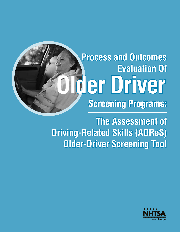# **Process and Outcomes Evaluation Of** Screening Programs: **Older Driver**

**The Assessment of Driving-Related Skills (ADReS) Older-Driver Screening Tool**

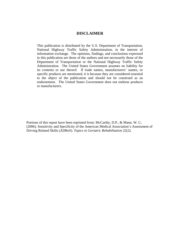# **DISCLAIMER**

This publication is distributed by the U.S. Department of Transportation, National Highway Traffic Safety Administration, in the interest of information exchange. The opinions, findings, and conclusions expressed in this publication are those of the authors and not necessarily those of the Department of Transportation or the National Highway Traffic Safety Administration. The United States Government assumes no liability for its contents or use thereof. If trade names, manufacturers' names, or specific products are mentioned, it is because they are considered essential to the object of the publication and should not be construed as an endorsement. The United States Government does not endorse products or manufacturers.

Portions of this report have been reprinted from: McCarthy, D.P., & Mann, W. C**.**  (2006). Sensitivity and Specificity of the American Medical Association's Assessment of Driving Related Skills (ADReS). *Topics in Geriatric Rehabilitation* 22(2).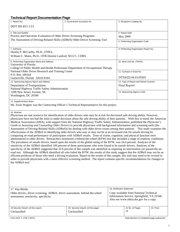# **Technical Report Documentation Page**

| rechnical Report Documentation i                                                                                                                                                                                                                                                                                                                                                                                                                                                                                                                                                                                                                                                                                                                                                                                                                                                                                                                                                                                                                                                                                                                                                                                                                                                                                                                                                                                                                                                                                                                                                                                                                                                                                                                                                                                                                                                                        |                                      |                            |                                                                                       |           |
|---------------------------------------------------------------------------------------------------------------------------------------------------------------------------------------------------------------------------------------------------------------------------------------------------------------------------------------------------------------------------------------------------------------------------------------------------------------------------------------------------------------------------------------------------------------------------------------------------------------------------------------------------------------------------------------------------------------------------------------------------------------------------------------------------------------------------------------------------------------------------------------------------------------------------------------------------------------------------------------------------------------------------------------------------------------------------------------------------------------------------------------------------------------------------------------------------------------------------------------------------------------------------------------------------------------------------------------------------------------------------------------------------------------------------------------------------------------------------------------------------------------------------------------------------------------------------------------------------------------------------------------------------------------------------------------------------------------------------------------------------------------------------------------------------------------------------------------------------------------------------------------------------------|--------------------------------------|----------------------------|---------------------------------------------------------------------------------------|-----------|
| 1. Report No.                                                                                                                                                                                                                                                                                                                                                                                                                                                                                                                                                                                                                                                                                                                                                                                                                                                                                                                                                                                                                                                                                                                                                                                                                                                                                                                                                                                                                                                                                                                                                                                                                                                                                                                                                                                                                                                                                           | 2. Government Accession No.          |                            | 3. Recipient's Catalog No.                                                            |           |
| DOT HS 811-113                                                                                                                                                                                                                                                                                                                                                                                                                                                                                                                                                                                                                                                                                                                                                                                                                                                                                                                                                                                                                                                                                                                                                                                                                                                                                                                                                                                                                                                                                                                                                                                                                                                                                                                                                                                                                                                                                          |                                      |                            |                                                                                       |           |
| 4. Title and Subtitle                                                                                                                                                                                                                                                                                                                                                                                                                                                                                                                                                                                                                                                                                                                                                                                                                                                                                                                                                                                                                                                                                                                                                                                                                                                                                                                                                                                                                                                                                                                                                                                                                                                                                                                                                                                                                                                                                   |                                      |                            | 5. Report Date                                                                        |           |
| Process and Outcomes Evaluation of Older Driver Screening Programs:                                                                                                                                                                                                                                                                                                                                                                                                                                                                                                                                                                                                                                                                                                                                                                                                                                                                                                                                                                                                                                                                                                                                                                                                                                                                                                                                                                                                                                                                                                                                                                                                                                                                                                                                                                                                                                     |                                      |                            | May 2009                                                                              |           |
| The Assessment of Driving-Related Skills (ADReS) Older-Driver Screening Tool                                                                                                                                                                                                                                                                                                                                                                                                                                                                                                                                                                                                                                                                                                                                                                                                                                                                                                                                                                                                                                                                                                                                                                                                                                                                                                                                                                                                                                                                                                                                                                                                                                                                                                                                                                                                                            |                                      |                            | 6. Performing Organization Code                                                       |           |
| 7. Author(s)                                                                                                                                                                                                                                                                                                                                                                                                                                                                                                                                                                                                                                                                                                                                                                                                                                                                                                                                                                                                                                                                                                                                                                                                                                                                                                                                                                                                                                                                                                                                                                                                                                                                                                                                                                                                                                                                                            |                                      |                            | 8. Performing Organization Report No.                                                 |           |
| Dennis P. McCarthy, Ph.D., OTR/L,                                                                                                                                                                                                                                                                                                                                                                                                                                                                                                                                                                                                                                                                                                                                                                                                                                                                                                                                                                                                                                                                                                                                                                                                                                                                                                                                                                                                                                                                                                                                                                                                                                                                                                                                                                                                                                                                       |                                      |                            |                                                                                       |           |
| William C. Mann, Ph.D., OTR Desiree Lanford, M.O.T., CDRS                                                                                                                                                                                                                                                                                                                                                                                                                                                                                                                                                                                                                                                                                                                                                                                                                                                                                                                                                                                                                                                                                                                                                                                                                                                                                                                                                                                                                                                                                                                                                                                                                                                                                                                                                                                                                                               |                                      |                            |                                                                                       |           |
| 9. Performing Organization Name and Address                                                                                                                                                                                                                                                                                                                                                                                                                                                                                                                                                                                                                                                                                                                                                                                                                                                                                                                                                                                                                                                                                                                                                                                                                                                                                                                                                                                                                                                                                                                                                                                                                                                                                                                                                                                                                                                             |                                      |                            | 10. Work Unit No. (TRAIS)                                                             |           |
| University of Florida                                                                                                                                                                                                                                                                                                                                                                                                                                                                                                                                                                                                                                                                                                                                                                                                                                                                                                                                                                                                                                                                                                                                                                                                                                                                                                                                                                                                                                                                                                                                                                                                                                                                                                                                                                                                                                                                                   |                                      |                            |                                                                                       |           |
| College of Public Health and Health Professions Department of Occupational Therapy<br>National Older Driver Research and Training Center                                                                                                                                                                                                                                                                                                                                                                                                                                                                                                                                                                                                                                                                                                                                                                                                                                                                                                                                                                                                                                                                                                                                                                                                                                                                                                                                                                                                                                                                                                                                                                                                                                                                                                                                                                |                                      |                            |                                                                                       |           |
| P.O. Box 100164                                                                                                                                                                                                                                                                                                                                                                                                                                                                                                                                                                                                                                                                                                                                                                                                                                                                                                                                                                                                                                                                                                                                                                                                                                                                                                                                                                                                                                                                                                                                                                                                                                                                                                                                                                                                                                                                                         |                                      |                            | 11. Contract or Grant No.                                                             |           |
| Gainesville, Florida 32610-0164                                                                                                                                                                                                                                                                                                                                                                                                                                                                                                                                                                                                                                                                                                                                                                                                                                                                                                                                                                                                                                                                                                                                                                                                                                                                                                                                                                                                                                                                                                                                                                                                                                                                                                                                                                                                                                                                         |                                      |                            | DTNH22-04-H-05201                                                                     |           |
| 12. Sponsoring Agency Name and Address                                                                                                                                                                                                                                                                                                                                                                                                                                                                                                                                                                                                                                                                                                                                                                                                                                                                                                                                                                                                                                                                                                                                                                                                                                                                                                                                                                                                                                                                                                                                                                                                                                                                                                                                                                                                                                                                  |                                      |                            | 13. Type of Report and Period Covered                                                 |           |
| Department of Transportation<br>National Highway Traffic Safety Administration                                                                                                                                                                                                                                                                                                                                                                                                                                                                                                                                                                                                                                                                                                                                                                                                                                                                                                                                                                                                                                                                                                                                                                                                                                                                                                                                                                                                                                                                                                                                                                                                                                                                                                                                                                                                                          |                                      |                            | <b>Final Report</b>                                                                   |           |
| 1200 New Jersey Avenue, SE                                                                                                                                                                                                                                                                                                                                                                                                                                                                                                                                                                                                                                                                                                                                                                                                                                                                                                                                                                                                                                                                                                                                                                                                                                                                                                                                                                                                                                                                                                                                                                                                                                                                                                                                                                                                                                                                              |                                      |                            | 14. Sponsoring Agency Code                                                            |           |
| Washington, DC 20590                                                                                                                                                                                                                                                                                                                                                                                                                                                                                                                                                                                                                                                                                                                                                                                                                                                                                                                                                                                                                                                                                                                                                                                                                                                                                                                                                                                                                                                                                                                                                                                                                                                                                                                                                                                                                                                                                    |                                      |                            |                                                                                       |           |
| 15. Supplementary Notes                                                                                                                                                                                                                                                                                                                                                                                                                                                                                                                                                                                                                                                                                                                                                                                                                                                                                                                                                                                                                                                                                                                                                                                                                                                                                                                                                                                                                                                                                                                                                                                                                                                                                                                                                                                                                                                                                 |                                      |                            |                                                                                       |           |
| Ms. Essie Wagner was the Contracting Officer's Technical Representative for this project.                                                                                                                                                                                                                                                                                                                                                                                                                                                                                                                                                                                                                                                                                                                                                                                                                                                                                                                                                                                                                                                                                                                                                                                                                                                                                                                                                                                                                                                                                                                                                                                                                                                                                                                                                                                                               |                                      |                            |                                                                                       |           |
| Physicians are one resource for identification of older drivers who may be at risk for decreased safe driving ability. However,<br>physicians have not had the tools to make decisions about the safe driving ability of their patients. With this in mind, the American<br>Medical Association (AMA), with support from the National Highway Traffic Safety Administration, published the Physician's<br>Guide to Assessing and Counseling Older Drivers to provide physicians with background information and screening tools (the<br>Assessment of Driving-Related Skills (ADReS)) for dealing with older driver issues among their patients. This study examines the<br>effectiveness of the ADReS in identifying older drivers who may or may not be at an increased risk for unsafe driving by<br>comparing on-road performance of participants with ADReS results. Tests of vision, cognition, and physical function were<br>administered to older drivers. Researchers monitored a behind-the-wheel (BTW) test that included a range of roadway conditions.<br>The prevalence of unsafe drivers, based upon the results of the global rating of the BTW, was 24.6 percent. Analyses of the<br>sensitivity of the ADReS identified 100 percent of those participants who were found to be unsafe drivers. Analyses of the<br>specificity of the ADReS suggested that 32.6 percent of this sample was identified as requiring an intervention yet passed the on-<br>road test. Although the ADReS identified all who failed the BTW, the results of this study suggest that the ADReS may not be an<br>efficient predictor of those who need a driving evaluation. Based on the results of this sample, this tool may need to be revised in<br>order to provide physicians with a more effective screening method. The report contains specific recommendations for changes to<br>the ADReS tool. |                                      |                            |                                                                                       |           |
| 17. Key Words                                                                                                                                                                                                                                                                                                                                                                                                                                                                                                                                                                                                                                                                                                                                                                                                                                                                                                                                                                                                                                                                                                                                                                                                                                                                                                                                                                                                                                                                                                                                                                                                                                                                                                                                                                                                                                                                                           |                                      | 18. Distribution Statement |                                                                                       |           |
| Older drivers, driver screening, ADReS, driver assessment, behind-the-wheel                                                                                                                                                                                                                                                                                                                                                                                                                                                                                                                                                                                                                                                                                                                                                                                                                                                                                                                                                                                                                                                                                                                                                                                                                                                                                                                                                                                                                                                                                                                                                                                                                                                                                                                                                                                                                             |                                      |                            | Copy available from National Technical                                                |           |
| assessment, sensitivity, specificity.                                                                                                                                                                                                                                                                                                                                                                                                                                                                                                                                                                                                                                                                                                                                                                                                                                                                                                                                                                                                                                                                                                                                                                                                                                                                                                                                                                                                                                                                                                                                                                                                                                                                                                                                                                                                                                                                   |                                      |                            | Information Service, Springfield, VA 22160.<br>Also see www.nhtsa.dot.gov for a copy. |           |
| 19 Security Classif. (of this report)                                                                                                                                                                                                                                                                                                                                                                                                                                                                                                                                                                                                                                                                                                                                                                                                                                                                                                                                                                                                                                                                                                                                                                                                                                                                                                                                                                                                                                                                                                                                                                                                                                                                                                                                                                                                                                                                   | 20. Security Classif. (of this page) |                            | 21 No. of Pages                                                                       | 22. Price |
| Unclassified                                                                                                                                                                                                                                                                                                                                                                                                                                                                                                                                                                                                                                                                                                                                                                                                                                                                                                                                                                                                                                                                                                                                                                                                                                                                                                                                                                                                                                                                                                                                                                                                                                                                                                                                                                                                                                                                                            | Unclassified                         |                            | 28                                                                                    |           |

Form DOT F 1700.7 (8/72) **Reproduction of completed page authorized** Reproduction of completed page authorized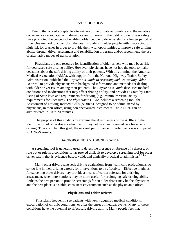#### INTRODUCTION

Due to the lack of acceptable alternatives to the private automobile and the negative consequences associated with driving cessation, many in the field of older driver safety have promoted the concept of enabling older people to drive safely for a longer period of time. One method to accomplish the goal is to identify older people with unacceptably high risk for crashes in order to provide them with opportunities to improve safe driving ability through driver assessment and rehabilitation programs and/or recommend the use of alternative modes of transportation.

Physicians are one resource for identification of older drivers who may be at risk for decreased safe driving ability. However, physicians have not had the tools to make decisions about the safe driving ability of their patients. With this in mind, the American Medical Association (AMA), with support from the National Highway Traffic Safety Administration, published the *Physician's Guide to Assessing and Counseling Older Drivers* <sup>1</sup> to provide physicians with background information and methods for dealing with older driver issues among their patients. The *Physician's Guide* discusses medical conditions and medications that may affect driving ability, and provides a State-by-State listing of State laws and requirements for driving (e.g., minimum visual acuity requirements for licensure). The *Physician's Guide* includes a screening tool, the Assessment of Driving-Related Skills (ADReS), designed to be administered by physicians, in their office, using non-specialized instruments. The ADReS can be administered in 10 to 20 minutes.

The purpose of this study is to examine the effectiveness of the ADReS in the identification of older drivers who may or may not be at an increased risk for unsafe driving*.* To accomplish this goal, the on-road performance of participants was compared to ADReS results.

#### BACKGROUND AND SIGNIFICANCE

A screening tool is generally used to detect the presence or absence of a disease, or rule out or rule in a condition. It has proved difficult to develop a screening tool for older driver safety that is evidence-based, valid, and clinically practical to administer.<sup>2345</sup>

Many older drivers who seek driving evaluations from healthcare professionals do so too late in their driving careers for interventions to be effective.  $6$  Effective methods for screening older drivers may provide a means of earlier referrals for a driving assessment, when interventions may be more useful for prolonging safe driving ability. Perhaps the best person to provide screenings for an older driver may be the physician; and the best place is a stable, consistent environment such as the physician's office.<sup>7</sup>

#### **Physicians and Older Drivers**

 Physicians frequently see patients with newly acquired medical conditions, exacerbation of chronic conditions, or after the onset of medical events. Many of these conditions have the potential to affect safe driving ability. Many people feel that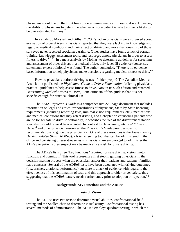physicians should be on the front lines of determining medical fitness to drive. However, the ability of physicians to determine whether or not a patient is safe to drive is likely to be overestimated by many. $^7$ 

In a study by Marshall and Gilbert, $4523$  Canadian physicians were surveyed about evaluation of older drivers. Physicians reported that they were lacking in knowledge with regard to medical conditions and their effect on driving and more than one-third of those surveyed never received specialized training. Other studies have found a lack of formal training, knowledge, assessment tools, and resources among physicians in order to assess fitness to drive.<sup>8910</sup> In a meta-analysis by Molnar<sup>3</sup> to determine guidelines for screening and assessment of older drivers in a medical office, only level III evidence (consensus statements, expert opinions) was found. The author concluded, "There is no evidence based information to help physicians make decisions regarding medical fitness to drive."<sup>3</sup>

How do physicians address driving issues of older people? The Canadian Medical Association published the *Physicians' Guide to Driver Examination*<sup>11</sup> offering physicians practical guidelines to help assess fitness to drive. Now in its sixth edition and renamed *Determining Medical Fitness to Drive*, 12 one criticism of this guide is that it is not specific enough for practical clinical use. $<sup>2</sup>$ </sup>

The AMA *Physician's Guide* is a comprehensive 226-page document that includes information on legal and ethical responsibilities of physicians, State-by-State licensing requirements (including reporting laws, minimal vision requirements, etc.), medications and medical conditions that may affect driving, and a chapter on counseling patients who are no longer safe to drive. Additionally, it describes the role of the driver rehabilitation specialist, should referral be warranted. In contrast to *Determining Medical Fitness to Drive*12 and other physician resources, the *Physician's Guide* provides specific recommendations to guide the physician (2). One of these resources is the *Assessment of Driving Related Skills* (ADReS), a brief screening tool that can be administered in the office and consisting of easy-to-use tests. Physicians are encouraged to administer the ADReS to patients they suspect may be medically at-risk for unsafe driving.

The ADReS lists three "key functions" required for safe driving: vision, motor function, and cognition.<sup>1</sup> This tool represents a first step in guiding physicians in the decision-making process when the physician, and/or their patients and patients' families have concerns. Several of the ADReS tests have been associated with driving outcomes (i.e., crashes, citations, performance) but there is a lack of evidence with regard to the effectiveness of this combination of tests and this approach to older driver safety, thus suggesting that the ADReS battery needs further study prior to adoption or rejection.<sup>2, p.</sup> 366

# **Background: Key Functions and the ADReS**

## **Tests of Vision**

The ADReS uses two tests to determine visual abilities: confrontational field testing and the Snellen chart to determine visual acuity. Confrontational testing has several methods of administration. The ADReS employs quadrant testing in which the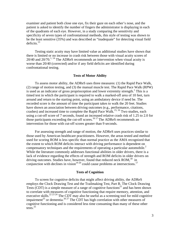examiner and patient both close one eye, fix their gaze on each other's nose, and the patient is asked to identify the number of fingers the administrator is displaying in each of the quadrants of each eye. However, in a study comparing the sensitivity and specificity of seven types of confrontational methods, this style of testing was shown to be the least sensitive (35%) and was described as "inadequate" for detecting visual field deficits. $^{13}$ 

Testing static acuity may have limited value as additional studies have shown that there is limited or no increase in crash risk between those with visual acuity scores of  $20/40$  and  $20/70$ .<sup>1, 14</sup> The ADReS recommends an intervention when visual acuity is worse than 20/40 (corrected) and/or if any field deficits are identified during confrontational testing.

### **Tests of Motor Ability**

To assess motor ability, the ADReS uses three measures: (1) the Rapid Pace Walk, (2) range of motion testing, and (3) the manual muscle test. The Rapid Pace Walk (RPW) is used as an indicator of gross proprioception and lower extremity strength.<sup>1</sup> This is a timed test in which the participant is required to walk a marked-off area of 10 feet, turn around and return to the starting point, using an ambulatory device if need be. The recorded score is the amount of time the participant takes to walk the 20 feet. Studies have shown an association between driving outcomes (e.g., performance, citations, crashes) and increased time to complete the Rapid Pace Walk.<sup>15, 16</sup> Two studies, each using a cut-off score of 7 seconds, found an increased relative crash risk of 1.25 to 2.0 for those participants exceeding the cut-off scores.<sup>16 17</sup> The ADReS recommends an intervention for those with cut-off scores greater than 9 seconds.

For assessing strength and range of motion, the ADReS uses practices similar to those used by American healthcare practitioners. However, the areas tested and method used for scoring ROM is less specific than normal practice as the AMA recognized that the extent to which ROM deficits interact with driving performance is dependent on compensatory techniques and the requirements of operating a particular automobile.<sup>2</sup> While the literature commonly addresses functional abilities in older drivers, there is a lack of evidence regarding the effects of strength and ROM deficits in older drivers on driving outcomes. Studies have, however, found that reduced neck  $ROM<sup>18</sup>$  in conjunction with declines in vision<sup>1920</sup> could cause problems at intersections.<sup>17</sup>

#### **Tests of Cognition**

To screen for cognitive deficits that might affect driving ability, the ADReS employs the Clock Drawing Test and the Trailmaking Test, Part B. The Clock Drawing Tests (CDT) is a simple measure of a range of cognitive functions<sup>21</sup> and has been shown to correlate with measures of cognitive functioning that require memory, attention, and executive skills.<sup>22 23 24</sup> The CDT may also be useful as a screening tool for mild cognitive impairment<sup>25</sup> or dementia.<sup>26 27</sup> The CDT has high correlation with other measures of cognitive functioning and is considered less time consuming than many of these other tests. $25$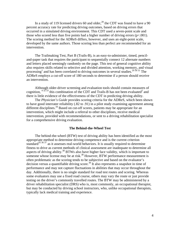In a study of 119 licensed drivers 60 and older,<sup>28</sup> the CDT was found to have a 90 percent accuracy rate for predicting driving outcomes, based on driving errors that occurred in a simulated driving environment. This CDT used a seven-point scale and those who scored less than five points had a higher number of driving errors  $(p<.001)$ . The scoring method for the ADReS differs, however, and uses an eight-point scale, developed by the same authors. Those scoring less than perfect are recommended for an intervention.

The Trailmaking Test, Part B (Trails-B), is an easy-to-administer, timed, penciland-paper task that requires the participant to sequentially connect 12 alternate numbers and letters placed seemingly randomly on the page. This test of general cognitive ability also requires skills related to selective and divided attention, working memory, and visual processing<sup>1</sup> and has been correlated to driving outcomes in several studies.<sup>29 30 31</sup> The ADReS employs a cut-off score of 180 seconds to determine if a person should receive an intervention.

Although older-driver screening and evaluation tools should contain measures of cognition,  $43\overline{233}$  this combination of the CDT and Trails-B has not been evaluated<sup>2</sup> and there is little evidence of the effectiveness of the CDT in predicting driving ability.

The *Physician's Guide* provides scoring criteria for the ADReS, which been shown to have good interrater reliability (.82 to .91) in a pilot study examining agreement among different disciplines.<sup>34</sup> Based on cut-off scores, patients may be appropriate for an intervention, which might include a referral to other disciplines, receive medical intervention, provided with recommendations, or sent to a driving rehabilitation specialist for a comprehensive driving evaluation.

#### **The Behind-the-Wheel Test**

The behind-the-wheel (BTW) test of driving ability has been identified as the most appropriate method to determine driving competence and is the current criterion standard<sup>35 36 37</sup> as it assesses real-world behaviors. It is usually required to determine fitness to drive as current methods of clinical assessment are inadequate to determine all aspects of driving ability.<sup>38</sup> BTWs also have higher face validity, which is important to someone whose license may be at risk.<sup>38</sup> However, BTW performance measurement is often problematic as the scoring tends to be subjective and based on the evaluator's decision versus a quantifiable driving score.<sup>39</sup> It also represents a snapshot in time of performance and may not capture fluctuations in abilities that may occur throughout the day. Additionally, there is no single standard for road test routes and scoring. Whereas some evaluators may use a fixed road course, others may vary the route or just provide testing on the driver's commonly travelled routes. The BTW may be administered by a driver rehabilitation specialist (DRS) who is, most commonly, an occupational therapist, but may be conducted by driving school instructors, who, unlike occupational therapists, typically lack medical training and experience.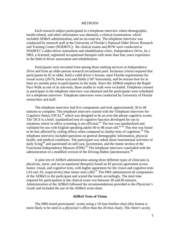#### **METHODS**

Each research subject participated in a telephone interview where demographic, health-related, and other information was obtained; a clinical examination, which included ADReS administration; and an on-road test. The telephone interview was conducted by research staff at the University of Florida's National Older Driver Research and Training Center (NODRTC); the clinical exams and BTW were conducted at NODRTC's older-driver assessment and rehabilitation clinic, *Independence Drive*, by a DRS, a licensed, registered occupational therapist with more than four years experience in the field of driver assessment and rehabilitation.

Participants were recruited from among those seeking services at *Independence Drive* and from an older-person research recruitment pool. Inclusion criteria required that participants be 65 or older, hold a valid driver's license, meet Florida requirements for visual acuity (20/70, better eye) and fields (130° horizontal), and be seizure-free for at least six months prior to participation in the study. Since the ADReS employs the Rapid Pace Walk as one of its sub-tests, those unable to walk were excluded. Telephone consent to participate in the telephone interview was obtained and the participants were scheduled for a telephone interview. Telephone interviews were conducted by University of Florida researchers and staff.

The telephone interview had five components and took approximately 30 to 40 minutes to complete. The telephone interview started with the Telephone Interview for Cognitive Status  $(TICS)$ , <sup>40</sup> which was designed to be an over-the-phone cognitive screen. The TICS is a brief, standardized test of cognitive function developed for use in situations where in-office screening is not efficient.<sup>41</sup> The test was standardized and validated for use with English-speaking adults 60 to 98 years old.<sup>41 42</sup> This test was found to be less affected by ceiling effects when compared to similar tests of cognition.<sup>43</sup> The telephone interview included questions on general demographic information, physical health, and medical conditions. The participant was asked about instrumental activities of daily living<sup>44</sup> and questioned on self-care, locomotion, and the motor section of the Functional Independence Measure (FIM).<sup>45</sup> The telephone interview concluded with the administration of a modified version of the Driving Habits Questionnaire.<sup>46</sup>

A pilot test of ADReS administration among three different types of clinicians (a physician, nurse, and an occupational therapist) found an 82 percent agreement across motor, visual, and cognitive tests, with higher agreement for the vision and cognitive tests (.93 and .95, respectively) than motor tests  $(.80)$ <sup>47</sup>. The DRS administered all components of the ADReS to the participant and scored the results accordingly. The total time required for participation in the clinical exam was between 30 and 60 minutes. Administration of the ADReS followed the recommendations provided in the *Physician's Guide* and included the use of the ADReS score sheet.

## **ADReS Tests of Vision**

The DRS tested participants' acuity using a 10-foot Snellen chart (this format is more likely to be used in a physician's office than the 20-foot chart). The client's acuity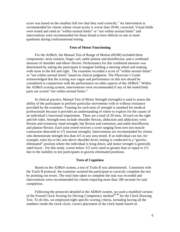score was based on the smallest full row that they read correctly.<sup>1</sup> An intervention is recommended for clients whose visual acuity is worse than 20/40, corrected. Visual fields were tested and rated as "within normal limits" or "not within normal limits" and interventions were recommended for those found to have deficits in one or more quadrants during confrontational testing.

## **Tests of Motor Functioning**

For the ADReS, the Manual Test of Range of Motion (ROM) included these components: neck rotation, finger curl, ankle plantar and dorsiflexion, and a combined measure of shoulder and elbow flexion. Performance for this combined measure was determined by asking the participant to imagine holding a steering wheel and making wide turns to the left and right. The examiner recorded a score of "within normal limits" or "not within normal limits" based on clinical judgment. The *Physician's Guide* acknowledged that the scoring was vague and performance on this test should be considered in conjunction with the performance on other aspects of the ADReS.<sup>1</sup> Within the ADReS scoring system, interventions were recommended if any of the tested body parts are scored "not within normal limits."

In clinical practice, Manual Test of Motor Strength (strength) is used to assess the ability of the participant to perform particular movements with or without resistance provided by the examiner. Training for such tests of strength is standard for medical professionals because it provides an understanding of where to explore for the causes of an individual's functional impairment. There are a total of 20 tests, 10 each on the right and left sides. Strength tests include shoulder flexion, abduction and adduction; wrist flexion and extension; hand strength; hip flexion and extension; and ankle dorsiflexion and plantar-flexion. Each joint tested receives a score ranging from zero (no muscle contraction detected) to 5/5 (normal strength). Interventions are recommended for clients who demonstrate strength less than  $4/5$  in any area tested. If an individual can not, for example, raise his or her arm above shoulder-level, testing is conducted in a "gravityeliminated" position where the individual is lying down, and motor strength is generally rated lower. For this study, scores below 3/5 were rated as greater than or equal to 2/5 due to the inability to test participants in gravity-eliminated positions.

## **Tests of Cognition**

Based on the ADReS system, a test of Trails B was administered. Consistent with the Trails B protocol, the examiner assisted the participant to correctly complete the test by pointing out errors. The total time taken to complete the task was recorded and interventions were recommended for clients requiring more than 180 seconds for task completion.

Following the protocols detailed in the ADReS system, we used a modified version of the Freund Clock Scoring for Driving Competency method<sup>28 48</sup> for the Clock Drawing Test. To do this, we employed eight specific scoring criteria, including having all the numbers inside the clock circle, correct placement of the clock hands based on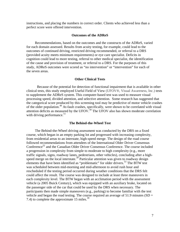instructions, and placing the numbers in correct order. Clients who achieved less than a perfect score were offered intervention.

#### **Outcomes of the ADReS**

Recommendations, based on the outcomes and the constructs of the ADReS, varied for each domain assessed. Results from acuity testing, for example, could lead to the outcomes of continued driving, restricted driving recommended, or referral to a DRS (provided acuity meets minimum requirements) or eye care specialist. Deficits in cognition could lead to more testing, referral to other medical specialist, the identification of the cause and provision of treatment, or referral to a DRS. For the purposes of this study, ADReS outcomes were scored as "no intervention" or "intervention" for each of the seven areas.

#### **Other Clinical Tests**

 Because of the potential for detection of functional impairment that is available in other clinical tests, this study employed Useful Field of View (UFOV®, Visual Awareness, Inc.) tests to supplement the ADReS system. This computer-based test was used to measure visual processing speed, divided attention, and selective attention. Some research has suggested that the categorical score produced by this screening tool may be predictive of motor vehicle crashes of the older population.<sup>49</sup> At-fault crashes, specifically, were shown to be correlated with visual attention deficits as measured by the UFOV.<sup>50</sup> The UFOV also has shown moderate correlation with driving performance.<sup>51</sup>

#### **The Behind-the-Wheel Test**

The Behind-the-Wheel driving assessment was conducted by the DRS on a fixed course, which began in an empty parking lot and progressed with increasing complexity, from residential areas to an interstate, high-speed merge. The design of the road course followed recommendations from attendees of the International Older Driver Consensus Conference<sup>52</sup> and the Canadian Older Driver Consensus Conference. The course included a progression in complexity from simple to moderate to high complexity (e.g., more traffic signals, signs, roadway lanes, pedestrians, other vehicles), concluding after a highspeed merge on the local interstate.<sup>39</sup> Particular attention was given to roadway design elements that have been identified as "problematic" for older drivers.<sup>53</sup> The BTW test was scheduled between mid-morning and mid-afternoon to avoid rush hour and rescheduled if the testing period occurred during weather conditions that the DRS felt could affect the result. The course was designed to include at least three maneuvers in each complexity level. The BTW began with an acclimation period with the assessment vehicle (a 2005 Buick Century), which was equipped with an auxiliary brake, located on the passenger side of the car that could be used by the DRS when necessary. The participants then made simple maneuvers (e.g., parking) to become familiar with the test vehicle and began the road testing. The course required an average of 51.9 minutes ( $SD =$ 7.4) to complete the approximate 15 miles.<sup>39</sup>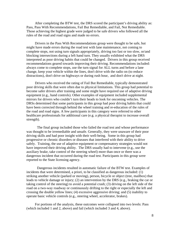After completing the BTW test, the DRS scored the participant's driving ability as: Pass, Pass With Recommendations, Fail But Remediable, and Fail, Not Remediable. Those achieving the highest grade were judged to be safe drivers who followed all the rules of the road and road signs and made no errors.

Drivers in the Pass With Recommendations group were thought to be safe, but might have made errors during the road test with lane maintenance, not coming to complete stops, not using turn signals appropriately, driving too fast or too slow, or/and blocking intersections during a left hand turn. They usually exhibited what the DRS interpreted as poor driving habits that could be changed. Drivers in this group received recommendations geared towards improving their driving. Recommendations included: always come to complete stops, use the turn signal for ALL turns and before a lane change, keep your vehicle within the lines, don't drive with the radio on (to reduce distractions), don't drive on highways or during rush hour, and don't drive at night.

Drivers who received the rating of Fail But Remediable, typically demonstrated poor driving skills that were often due to physical limitations. This group had potential to become safer drivers after training and some might have required use of adaptive driving equipment (e.g., hand controls). Other examples of equipment included supplemental mirrors for drivers who couldn't turn their heads to look for oncoming vehicles. The DRSs determined that some participants in this group had poor driving habits that could have been corrected through behind the wheel training and re-education of the rules of the road and road signs. A few participants in this category were referred to other healthcare professionals for additional care (e.g. a physical therapist to increase overall strength).

 The final group included those who failed the road test and whose performance was thought to be irremediable and unsafe. Generally, they were unaware of their poor driving skills and had poor insight with their well-being. Some in this group had progressive or chronic disorders or diseases that interfered with their ability to drive safely. Training, the use of adaptive equipment or compensatory strategies would not have improved their driving ability. The DRS usually had to intervene (e.g., use the auxiliary brake, take control of the steering wheel) more than once or there was a dangerous incident that occurred during the road test. Participants in this group were reported to the State licensing agency.

 Dangerous incidents resulted in automatic failure of the BTW test. Examples of incidents that were determined, a priori, to be classified as dangerous included: (1) striking another vehicle (parked or moving), person, bicycle or object (tree, mailbox) that leads to vehicle damage or injury; (2) an intervention by the DRS (e.g., braking the car or taking control of the steering) to avoid a potential crash; (3) driving on the left side of the road on a two-way roadway or continuously drifting to the right or especially the left and crossing the double yellow lines; (4) excessive aggressive driving; and (5) inability to operate basic vehicle controls (e.g., steering wheel, accelerator, brakes).

For portions of the analysis, these outcomes were collapsed into two levels: Pass (which included 1 and 2, above) and fail (which included 3 and 4, above).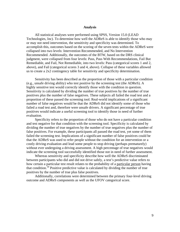#### **Analysis**

All statistical analyses were performed using SPSS, Version 15.0 (LEAD Technologies, Inc). To determine how well the ADReS is able to identify those who may or may not need intervention, the sensitivity and specificity was determined. To accomplish this, outcomes based on the scoring of the seven tests within the ADReS were collapsed into two levels: Intervention Recommended, and No Intervention Recommended. Additionally, the outcomes of the BTW, based on the DRS clinical judgment, were collapsed from four levels: Pass, Pass With Recommendations, Fail But Remediable, and Fail, Not Remediable, into two levels: Pass (categorical scores 1 and 2, above), and Fail (categorical scores 3 and 4, above). Collapse of these variables allowed us to create a 2x2 contingency table for sensitivity and specificity determination.

Sensitivity has been described as the proportion of those with a particular condition (e.g., unsafe driving ability) who test positive by the screening test (the ADReS). A highly sensitive test would correctly identify those with the condition in question. Sensitivity is calculated by dividing the number of true positives by the number of true positives plus the number of false negatives. These subjects all failed the road test and a proportion of these passed the screening tool. Real-world implications of a significant number of false negatives would be that the ADReS did not identify some of those who failed a road test and, therefore were unsafe drivers. A significant percentage of true positives would indicate a useful screening tool to identify those in need of further evaluation.

Specificity refers to the proportion of those who do not have a particular condition and test negative for that condition with the screening tool. Specificity is calculated by dividing the number of true negatives by the number of true negatives plus the number of false positives. For example, these participants all passed the road test, yet some of them failed the screening test. Implications of a significant number of false positives could be that the ADReS was used to refer people without the condition for an intervention or a costly driving evaluation and lead some people to stop driving (perhaps prematurely) without ever undergoing a driving assessment. A high percentage of true negatives would indicate the screening tool successfully identified those not in need of further assessment.

Whereas sensitivity and specificity describe how well the ADReS discriminated between participants who did and did not drive safely, a test's predictive value refers to how certain a particular test result relates to the probability of a particular person having that condition.<sup>54</sup> Positive predictive value is calculated by dividing the number of true positives by the number of true plus false positives.

Additionally, correlations were determined between the primary four-level driving outcome and ADReS components as well as the UFOV categorical score.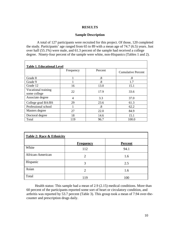# **RESULTS**

### **Sample Description**

A total of 127 participants were recruited for this project. Of those, 120 completed the study. Participants' age ranged from 65 to 89 with a mean age of 74.7 (6.5) years. Just over half (55.1%) were male, and 61.3 percent of the sample had received a college degree. Ninety-four percent of the sample were white, non-Hispanics (Tables 1 and 2).

| <b>Table 1. Educational Level</b>   |                |         |                           |
|-------------------------------------|----------------|---------|---------------------------|
|                                     | Frequency      | Percent | <b>Cumulative Percent</b> |
| Grade 8                             |                | .8      | .8                        |
| Grade 9                             |                | .8      | 1.7                       |
| Grade 12                            | 16             | 13.0    | 15.1                      |
| Vocational training<br>some college | 22             | 17.9    | 33.6                      |
| Associate degree                    | $\overline{4}$ | 3.3     | 37.0                      |
| College grad BA/BS                  | 29             | 23.6    | 61.3                      |
| Professional school                 |                | .8      | 62.2                      |
| Masters degree                      | 27             | 22.0    | 84.9                      |
| Doctoral degree                     | 18             | 14.6    | 15.1                      |
| Total                               | 119            | 96.7    | 100.0                     |

| Table 2: Race & Ethnicity |                  |                |
|---------------------------|------------------|----------------|
|                           | <b>Frequency</b> | <b>Percent</b> |
| White                     | 112              | 94.1           |
| African-American          | $\overline{2}$   | 1.6            |
| Hispanic                  | 3                | 2.5            |
| Asian                     | 2                | 1.6            |
| Total                     | 119              | 100            |

Health status: This sample had a mean of 2.9 (2.15) medical conditions. More than 60 percent of the participants reported some sort of heart or circulatory condition, and arthritis was reported by 53.7 percent (Table 3). This group took a mean of 7.94 over-thecounter and prescription drugs daily.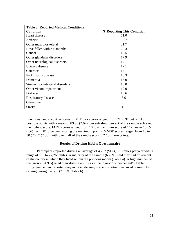| <b>Table 3: Reported Medical Conditions</b> |                            |  |
|---------------------------------------------|----------------------------|--|
| <b>Condition</b>                            | % Reporting This Condition |  |
| Heart disease                               | 61.0                       |  |
| <b>Arthritis</b>                            | 53.7                       |  |
| Other musculoskeletal                       | 31.7                       |  |
| Have fallen within 6 months                 | 20.3                       |  |
| Cancer                                      | 19.5                       |  |
| Other glandular disorders                   | 17.9                       |  |
| Other neurological disorders                | 17.1                       |  |
| Urinary disease                             | 17.1                       |  |
| Cataracts                                   | 17.1                       |  |
| Parkinson's disease                         | 16.3                       |  |
| Dementia                                    | 13.0                       |  |
| Stomach or intestinal disorders             | 13.0                       |  |
| Other vision impairment                     | 12.0                       |  |
| <b>Diabetes</b>                             | 10.6                       |  |
| Respiratory disease                         | 8.9                        |  |
| Glaucoma                                    | 8.1                        |  |
| <b>Stroke</b>                               | 4.1                        |  |

Functional and cognitive status: FIM Motor scores ranged from 71 to 91 out of 91 possible points with a mean of 89.96 (2.67). Seventy-four percent of the sample achieved the highest score. IADL scores ranged from 10 to a maximum score of 14 (mean= 13.65 (.86)), with 81.5 percent scoring the maximum points. MMSE scores ranged from 18 to 30 (26.57 (2.56)) with over half of the sample scoring 27 or more points.

# **Results of Driving Habits Questionnaire**

Participants reported driving an average of 4,702 (SD 4,173) miles per year with a range of 156 to 27,768 miles. A majority of the sample (65.5%) said they had driven out of the county in which they lived within the previous month (Table 4). A high number of this group (94.9%) rated their driving ability as either "good" or "excellent" (Table 5). Fifty-nine percent reported they avoided driving in specific situations, most commonly driving during the rain (21.8%, Table 6).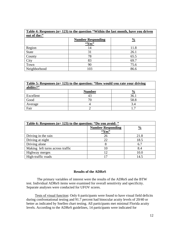| Table 4: Responses $(n=123)$ to the question "Within the last month, have you driven |                          |               |  |
|--------------------------------------------------------------------------------------|--------------------------|---------------|--|
| out of the:"                                                                         |                          |               |  |
|                                                                                      | <b>Number Responding</b> | $\frac{0}{0}$ |  |
|                                                                                      | "Yes"                    |               |  |
| Region                                                                               | 14                       | 11.8          |  |
| <b>State</b>                                                                         | 31                       | 26.1          |  |
| County                                                                               | 78                       | 65.5          |  |
| City                                                                                 | 83                       | 69.7          |  |
| Town                                                                                 | 90                       | 75.6          |  |
| Neighborhood                                                                         | 103                      | 86.6          |  |

| Table 5: Responses (n= 123) to the question: "How would you rate your driving<br>ability?" |               |               |
|--------------------------------------------------------------------------------------------|---------------|---------------|
|                                                                                            | <b>Number</b> | $\frac{0}{0}$ |
| Excellent                                                                                  |               | 36.1          |
| Good                                                                                       |               | 58.8          |
| Average                                                                                    |               | 3.4           |
| Fair                                                                                       |               |               |

| Table 6: Responses ( $n = 123$ ) to the question: "Do you avoid: " |                                   |               |
|--------------------------------------------------------------------|-----------------------------------|---------------|
|                                                                    | <b>Number Responding</b><br>"Yes" | $\frac{0}{0}$ |
| Driving in the rain                                                | 26                                | 21.8          |
| Driving at night                                                   | 22                                | 18.5          |
| Driving alone                                                      | 8                                 | 6.7           |
| Making left turns across traffic                                   | 10                                | 8.4           |
| Highway merges                                                     | 12                                | 10.0          |
| High-traffic roads                                                 | 17                                | 14.5          |

# **Results of the ADReS**

 The primary variables of interest were the results of the ADReS and the BTW test. Individual ADReS items were examined for overall sensitivity and specificity. Separate analyses were conducted for UFOV scores.

Tests of visual function: Only 6 participants were found to have visual field deficits during confrontational testing and 91.7 percent had binocular acuity levels of 20/40 or better as indicated by Snellen chart testing. All participants met minimal Florida acuity levels. According to the ADReS guidelines, 14 participants were indicated for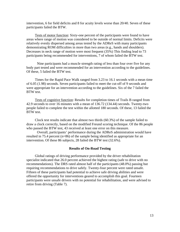intervention, 6 for field deficits and 8 for acuity levels worse than 20/40. Seven of these participants failed the BTW.

Tests of motor function: Sixty-one percent of the participants were found to have areas where range of motion was considered to be outside of normal limits. Deficits were relatively evenly dispersed among areas tested by the ADReS with many participants demonstrating ROM difficulties in more than two areas (e.g., hands and shoulders). Decreases in neck range of motion were most frequent (35%) This finding lead to 73 participants being recommended for interventions, 7 of whom failed the BTW test.

 Nine participants had a muscle strength rating of less than four over five for any body part tested and were recommended for an intervention according to the guidelines. Of these, 5 failed the BTW test.

Times for the Rapid Pace Walk ranged from 3.23 to 16.1 seconds with a mean time of 6.05 (1.98) seconds. Seven participants failed to meet the cut-off of 9 seconds and were appropriate for an intervention according to the guidelines. Six of the 7 failed the BTW test.

Tests of cognitive function: Results for completion times of Trails B ranged from 42.9 seconds to over 16 minutes with a mean of 136.72 (134.44) seconds. Twenty-two people failed to complete the test within the allotted 180 seconds. Of these, 13 failed the BTW test.

Clock test results indicate that almost two thirds (60.3%) of the sample failed to draw a clock correctly, based on the modified Freund scoring technique. Of the 86 people who passed the BTW test, 43 received at least one error on this measure.

 Overall, participants' performance during the ADReS administration would have resulted in 75.4 percent (n=86) of the sample being identified as appropriate for an intervention. Of these 86 subjects, 28 failed the BTW test (32.6%).

## **Results of On-Road Testing**

Global ratings of driving performance provided by the driver rehabilitation specialist indicated that 26.0 percent achieved the highest rating (safe to drive with no recommendations). The DRS rated almost half of the participants (48.0%) passing but requiring recommendations to drive safely. Twenty-four percent were rated unsafe. Fifteen of these participants had potential to achieve safe driving abilities and were offered the opportunity for interventions geared to accomplish this goal. Fourteen participants were unsafe drivers with no potential for rehabilitation, and were advised to retire from driving (Table 7).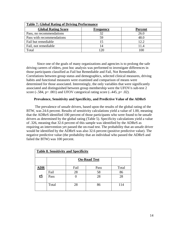| <b>Table 7: Global Rating of Driving Performance</b> |                  |                |
|------------------------------------------------------|------------------|----------------|
| <b>Global Rating Score</b>                           | <b>Frequency</b> | <b>Percent</b> |
| Pass, no recommendations                             | 32               | 26.0           |
| Pass with recommendations                            | 59               | 48.0           |
| Fail but remediable                                  | 15               | 12.2           |
| Fail, not remediable                                 | 14               | 11.4           |
| Total                                                | 20               | 100            |

Since one of the goals of many organizations and agencies is to prolong the safe driving careers of elders, post hoc analysis was performed to investigate differences in those participants classified as Fail but Remediable and Fail, Not Remediable. Correlations between group status and demographics, selected clinical measures, driving habits and functional measures were examined and comparison of means were determined for those associated. Interestingly, the only variables that were significantly associated and distinguished between group membership were the UFOV/s sub-test 2 score  $(-.584, p=.001)$  and UFOV categorical rating score  $(-.445, p=.02)$ .

## **Prevalence, Sensitivity and Specificity, and Predictive Value of the ADReS**

The prevalence of unsafe drivers, based upon the results of the global rating of the BTW, was 24.6 percent. Results of sensitivity calculations yield a value of 1.00, meaning that the ADReS identified 100 percent of those participants who were found to be unsafe drivers as determined by the global rating (Table 5). Specificity calculations yield a value of .326, meaning that 32.6 percent of this sample was identified by the ADReS as requiring an intervention yet passed the on-road test. The probability that an unsafe driver would be identified by the ADReS was also 32.6 percent (positive predictive value). The negative predictive value (the probability that an individual who passed the ADReS and failed the BTW) was 100 percent.

| <b>Table 8. Sensitivity and Specificity</b> |       |      |                     |       |
|---------------------------------------------|-------|------|---------------------|-------|
|                                             |       |      | <b>On-Road Test</b> |       |
| ADR                                         |       | Fail | Pass                | Total |
|                                             | Fail  | 28   | 58                  | 86    |
| $\underline{\mathbf{e}}$                    | Pass  |      | 28                  | 28    |
|                                             | Total | 28   | 86                  | 114   |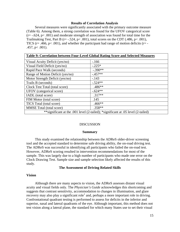## **Results of Correlation Analysis**

Several measures were significantly associated with the primary outcome measure (Table 6). Among them, a strong correlation was found for the UFOV categorical score  $(r=-.624, p<.001)$  and moderate strength of association was found for total time for the Trailmaking Test, Part B (r= -.524, p< .001), total scores on the CDT (.486, p< .001), TICS ( $r = .466$ ,  $p < .001$ ), and whether the participant had range of motion deficits ( $r = .457, p < .001$ ).

| Table 9: Correlation between Four-Level Global Rating Score and Selected Measures |           |  |
|-----------------------------------------------------------------------------------|-----------|--|
| Visual Acuity Deficit (yes/no)                                                    | $-166$    |  |
| Visual Field Deficit (yes/no)                                                     | $-.225*$  |  |
| Rapid Pace Walk (seconds)                                                         | $-.390**$ |  |
| Range of Motion Deficit (yes/no)                                                  | $-.457**$ |  |
| Motor Strength Deficit (yes/no)                                                   | $-.143$   |  |
| Trails B (seconds)                                                                | $-.524**$ |  |
| Clock Test Total (total score)                                                    | .486**    |  |
| UFOV (categorical score)                                                          | $-.624**$ |  |
| IADL (total score)                                                                | $.317**$  |  |
| FIM Motor (total score)                                                           | .145      |  |
| TICS Total (total score)                                                          | $.466**$  |  |
| <b>MMSE</b> Total (total score)                                                   | $.358**$  |  |
| **significant at the .001 level (2-tailed); *significant at .05 level (2-tailed)  |           |  |

#### DISCUSSION

#### **Summary**

This study examined the relationship between the ADReS older-driver screening tool and the accepted standard to determine safe driving ability, the on-road driving test. The ADReS was successful in identifying all participants who failed the on-road test. However, ADReS scoring resulted in intervention recommendations for most of the sample. This was largely due to a high number of participants who made one error on the Clock Drawing Test. Sample size and sample selection likely affected the results of this study.

## **The Assessment of Driving Related Skills**

#### **Vision**

Although there are many aspects to vision, the ADReS assesses distant visual acuity and visual fields only. The *Physician's Guide* acknowledges this shortcoming and suggests that contrast sensitivity, accommodation to changes in illumination, and glare recovery may also play a significant role<sup>1</sup> and, perhaps a more important role in driving. Confrontational quadrant testing is performed to assess for deficits in the inferior and superior, nasal and lateral quadrants of the eye. Although important, this method does not test vision along a lateral plane, the standard for which many States use to set their visual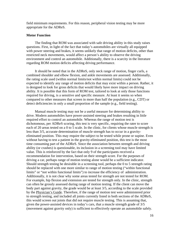field minimum requirements. For this reason, peripheral vision testing may be more appropriate for the ADReS.

## **Motor Function**

The finding that ROM was associated with safe driving ability in this study raises questions. First, in light of the fact that today's automobiles are virtually all equipped with power steering and brakes, it seems unlikely that range of motion deficits, other than restricted neck movements, would affect a person's ability to observe the driving environment and control an automobile. Additionally, there is a scarcity in the literature regarding ROM motion deficits affecting driving performance.

It should be noted that in the ADReS, only neck range of motion, finger curls, a combined shoulder and elbow flexion, and ankle movements are assessed. Additionally, the rating scale used (within normal limits/not within normal limits) could not be expected to identify any range of motion deficits that may exist within a person. Rather, it is designed to look for gross deficits that would likely have more impact on driving ability. It is possible that this form of ROM test, tailored to look at only those functions required for driving, is a sensitive and specific measure. At least it seems so when compared to other measures that screen in more than half the population (e.g., CDT) or detect deficiencies in only a small proportion of the sample (e.g., field testing).

Manual muscle testing may not be a useful measure for determining ability to drive. Modern automobiles have power-assisted steering and brakes resulting in little required effort to control an automobile. Whereas the range of motion test is dichotomous, per ADReS scoring, this test is very specific, requiring the rater to score each of 20 areas tested on a 0 to 5 scale. In the clinic, for clients whose muscle strength is less than 3/5, accurate determination of muscle strength has to occur in a gravityeliminated position. This may require the subject to be tested while prone or supine. Even without having to test a patient in the gravity-eliminated position, this test is the most time consuming part of the ADReS. Since the association between strength and driving ability (or crashes) is questionable, its inclusion in a screening tool may have limited value. This is reinforced by the fact that only 9 of the participants received a recommendation for intervention, based on their strength score. For the purposes of driving a car, perhaps range of motion testing alone would be a sufficient indicator. Should strength testing be desirable in a screening tool, perhaps the 0 to 5 strength rating should be replaced with one more similar to range of motion testing ("within functional limits" or "not within functional limits") to increase the efficiency of administration. Additionally, it is not clear why some areas tested for strength are not tested for ROM. For example, hip flexion and extension are tested for strength only. In the clinic, strength can often be grossly assessed during range of motion testing. If the client can move the body part against gravity, the grade would be at least 3/5, according to the scale provided by the Physician's Guide. Therefore, if the range of motion test were administered prior to strength testing, and included all joints currently listed in both sections of the ADReS, this would screen out joints that did not require muscle testing. This is assuming that, given the power-assisted devices in today's cars, that a muscle strength grade of 3/5 (movement against gravity only) is sufficient to effectively operate an automobile safely.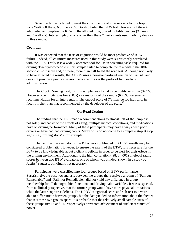Seven participants failed to meet the cut-off score of nine seconds for the Rapid Pace Walk. Of these, 6 of the 7 (85.7%) also failed the BTW test. However, of these 6 who failed to complete the RPW in the allotted time, 5 used mobility devices (3 canes and 3 walkers). Interestingly, no one other than these 7 participants used mobility devices in this sample.

## **Cognition**

It was expected that the tests of cognition would be most predictive of BTW failure. Indeed, all cognitive measures used in this study were significantly correlated with the GRS. Trails-B is a widely accepted tool for use in screening tasks required for driving. Twenty-two people in this sample failed to complete the task within the 180 second cut-off score and, of these, more than half failed the road test. Although not likely to have affected the results, the ADReS uses a non-standardized version of Trails-B and does not provide a practice session beforehand, as is the protocol for Trails-B administration.

The Clock Drawing Test, for this sample, was found to be highly sensitive (92.9%). However, specificity was low (50%) as a majority of the sample (60.3%) received a recommendation for an intervention. The cut-off score of 7/8 may be too high and, in fact, is higher than that recommended by the developer of the scale.<sup>48</sup>

## **On-Road Testing**

The finding that the DRS made recommendations to almost half of the sample is not solely indicative of the effects of aging, multiple medical conditions, and medications have on driving performance. Many of these participants may have always been poor drivers or have had bad driving habits. Many of us do not come to a complete stop at stop signs (i.e., "rolling stops"), for example.

The fact that the evaluator of the BTW was not blinded to ADReS results may be considered problematic. However, to ensure the safety of the BTW, it is necessary for the BTW to be knowledgeable about a client's deficits in order to be alert for their effects in the driving environment. Additionally, the high correlation (.98, p<.001) in global rating scores between two BTW evaluators, one of whom was blinded, shown in a study by Justiss<sup>39</sup>suggests blinding is not necessary.

Participants were classified into four groups based on BTW performance. Surprisingly, the post hoc analysis between the groups that received a rating of "Fail but Remediable" and "Fail, not Remediable," did not yield any difference in group membership for all demographic, functional and driving habit variables. It was suspected, from a clinical perspective, that the former group would have more physical limitations while the latter cognitive deficits. The UFOV categorical score and sub-test two were able to differentiate between groups, but the data yielded no information about the factors that sets these two groups apart. It is probable that the relatively small sample sizes of these groups (n= 15 and 14, respectively) prevented achievement of sufficient statistical power.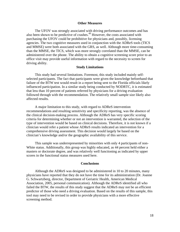#### **Other Measures**

The UFOV was strongly associated with driving performance outcomes and has also been shown to be predictive of crashes.<sup>49</sup> However, the costs associated with purchasing the UFOV could be prohibitive for physicians and, possibly, licensing agencies. The two cognitive measures used in conjunction with the ADReS tools (TICS and MMSE) were both associated with the GRS, as well. Although more time-consuming than the MMSE, the TICS, which was more strongly correlated than the MMSE, can be administered over the phone. The ability to obtain a cognitive screening score prior to an office visit may provide useful information with regard to the necessity to screen for driving ability.

#### **Study Limitations**

This study had several limitations. Foremost, this study included mainly selfselected participants. The fact that participants were given the knowledge beforehand that failure of the BTW test would result in a report being sent to the Florida officials likely influenced participation. In a similar study being conducted by NODRTC, it is estimated that less than 10 percent of patients referred by physicians for a driving evaluation followed through with the recommendation. The relatively small sample size likely also affected results.

A major limitation to this study, with regard to ADReS intervention recommendations and resulting sensitivity and specificity reporting, was the absence of the clinical decision-making process. Although the ADReS has very specific scoring criteria for determining whether or not an intervention is warranted, the selection of the type of intervention would be based on clinical decisions. Therefore, it is not known if a clinician would refer a patient whose ADReS results indicated an intervention for a comprehensive driving assessment. This decision would largely be based on the clinician's knowledge and/or the geographic availability of this service.

This sample was underrepresented by minorities with only 4 participants of non-White status. Additionally, this group was highly educated, as 44 percent held either a masters or doctorate degree, and was relatively well functioning as indicated by upper scores in the functional status measures used here.

#### **Conclusions**

Although the ADReS was designed to be administered in 10 to 20 minutes, many physicians have reported that they do not have the time for its administration (Dr. Joanne G. Schwartzberg, director, Department of Geriatric Health, American Medical Association, 2005, personal communication). Although the ADReS identified all who failed the BTW, the results of this study suggest that the ADReS may not be an efficient predictor of those who need a driving evaluation. Based on the results of this sample, this tool may need to be revised in order to provide physicians with a more effective screening method.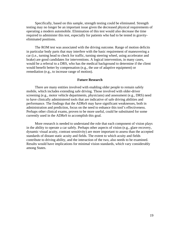Specifically, based on this sample, strength testing could be eliminated. Strength testing may no longer be an important issue given the decreased physical requirements of operating a modern automobile. Elimination of this test would also decrease the time required to administer this test, especially for patients who had to be tested in gravityeliminated positions.

The ROM test was associated with the driving outcome. Range of motion deficits in particular body parts that may interfere with the basic requirement of maneuvering a car (i.e., turning head to check for traffic, turning steering wheel, using accelerator and brake) are good candidates for interventions. A logical intervention, in many cases, would be a referral to a DRS, who has the medical background to determine if the client would benefit better by compensation (e.g., the use of adaptive equipment) or remediation (e.g., to increase range of motion).

#### **Future Research**

There are many entities involved with enabling older people to remain safely mobile, which includes extending safe driving. Those involved with older-driver screening (e.g., motor vehicle departments, physicians) and assessment (e.g., DRS) need to have clinically administered tools that are indicative of safe driving abilities and performance. The findings that the ADReS may have significant weaknesses, both in administration and prediction, focus on the need to enhance this tool's effectiveness. Perhaps other clinical exams, proven to be more useful, could be substituted for some currently used in the ADReS to accomplish this goal.

More research is needed to understand the role that each component of vision plays in the ability to operate a car safely. Perhaps other aspects of vision (e.g., glare recovery, dynamic visual acuity, contrast sensitivity) are more important to assess than the accepted standards of distant static acuity and fields. The extent to which acuity and fields contribute to driving ability, and the interaction of the two, also needs to be examined. Results would have implications for minimal vision standards, which vary considerably among States.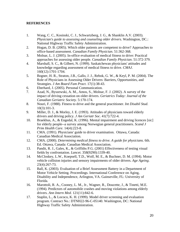# **REFERENCES**

- 1. Wang, C. C., Kosinski, C. J., Schwartzberg, J. G., & Shanklin A.V. (2003). *Physician's guide to assessing and counseling older drivers.* Washington, DC.: National Highway Traffic Safety Administration.
- 2. Hogan, D. B. (2005). Which older patients are competent to drive? Approaches to office-based assessment. *Canadian Family Physician*. 51:362-368.
- 3. Molnar, L. J. (2005). In-office evaluation of medical fitness to drive: Practical approaches for assessing older people. *Canadian Family Physician*. 51:372-379.
- 4. Marshall, S. C., & Gilbert, N. (1999). Saskatchewan physicians' attitudes and knowledge regarding assessment of medical fitness to drive. *CMAJ*. 160(12):1701-1704.
- 5. Bogner, H. R., Straton, J.B., Gallo, J. J., Rebok, G. W., & Keyl, P. M. (2004). The Role of Physicians in Assessing Older Drivers: Barriers, Opportunities, and Strategies. *J Am Board Fam Pract*. 17(1):38-43.
- 6. Eberhard, J. (2005). Personal Communication.
- 7. Azad, N., Byszewski, A. M., Amos, S., Molnar, F. J. (2002). A survey of the impact of driving cessation on older drivers. *Geriatrics Today: Journal of the Canadian Geriatric Society*. 5:170-174.
- 8. Nouri, F. (1988). Fitness to drive and the general practitioner. *Int Disabil Stud*. 10(3):101-3.
- 9. Miller, D. J., & Morley, J. E. (1993). Attitudes of physicians toward elderly drivers and driving policy. *J Am Geriatr Soc*. 41(7):722-4.
- 10. Braekhus, A., & Engedal, K. (1996). Mental impairment and driving licences [sic] for elderly people--a survey among Norwegian general practitioners. *Scand J Prim Health Care*. 14(4):223-8.
- 11. CMA. (1991). Physicians' guide to driver examination. Ottawa, Canada: Canadian Medical Association.
- 12. CMA. (2000). *Determining medical fitness to drive. A guide for physicians.* 6th. Ed. Ottawa, Canada: Canadian Medical Association.
- 13. Pandit, R. J., Gales, K., & Griffiths P.G. (2001) Effectiveness of testing visual fields by confrontation. *Lancet*. 358(9290):1339-40.
- 14. McCloskey, L.W., Koepsell, T.D., Wolf, M. E., & Buchner, D. M. (1994). Motor vehicle collision injuries and sensory impairments of older drivers. *Age Ageing*. 23(4):267-73.
- 15. Ball, K. (2003). Evaluation of a Brief Assessment Battery in a Department of Motor Vehicle Setting. Proceedings. International Conference on Aging, Disability and Independence, Arlington, VA. Gainseville, FL: University of Florida.
- 16. Marottoli, R. A., Cooney, L. M., Jr., Wagner, R., Doucette, J., & Tinetti, M.E. (1994). Predictors of automobile crashes and moving violations among elderly drivers. *Ann Intern Med*. 121(11):842-6.
- 17. Staplin, L., & Lococo, K. H. (1999). Model driver screening and evaluation program. Contract No.: DTNH22-96-C-05140. Washington, DC: National Highway Traffic Safety Administration.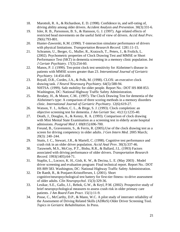- 18. Marottoli, R. A., & Richardson, E. D. (1998). Confidence in, and self-rating of, driving ability among older drivers. *Accident Analysis and Prevention*. 30(3):331-6.
- 19. Isler, R. B., Parsonson, B. S., & Hansson, G. J. (1997). Age related effects of restricted head movements on the useful field of view of drivers. *Accid Anal Prev*. 29(6):793-801.
- 20. Hunter-Zaworski, K.M. (1990). T-intersection simulator performance of drivers with physical limitations. *Transportation Research Record*. 1281:11-15.
- 21. Schramm, U., Berger, G., Muller, R., Kratzsch, T., Peters, J., & Frolich, L. (2002). Psychometric properties of Clock Drawing Test and MMSE or Short Performance Test (SKT) in dementia screening in a memory clinic population. *Int J Geriatr Psychiatry*. 17(3):254-60.
- 22. Manos, P. J. (1999). Ten-point clock test sensitivity for Alzheimer's disease in patients with MMSE scores greater than 23. *Interantional Journal of Geriatric Psychiatry*. 14:454-458.
- 23. Royall, D.R., Cordes, J.A., & Polk, M. (1998). CLOX: an executive clock drawing task. *J Neurol Neurosurg Psychiatry*. 64(5):588-94.
- 24. NHTSA. (1999). Safe mobility for older people. Report No.: DOT HS 808 853. Washington, DC: National Highway Traffic Safety Administration.
- 25. Brodaty, H., & Moore, C.M.. (1997). The Clock Drawing Test for dementia of the Alzheimer's type: A comparison of three scoring methods in a memory disorders clinic. *International Journal of Geriatric Psychiatry*. 12(6):619-27.
- 26. Watson, Y. I., Arfken, C. L., & Birge, S. J. (1993). Clock completion: an objective screening test for dementia. *J Am Geriatr Soc*. 41(11):1235-40.
- 27. Death, J., Douglas, A., & Kenny, R. A. (1993). Comparison of clock drawing with Mini Mental State Examination as a screening test in elderly acute hospital admissions. *Postgrad Med J*. 69(815):696-700.
- 28. Freund, B., Gravenstein, S., & Ferris, R. (2005).Use of the clock drawing test as a screen for driving competency in older adults. *J Gen Intern Med.* 2005 March; 20(3): 240–244.
- 29. Stutts, J. C., Stewart, J.R., & Martell, C. (1998). Cognitive test performance and crash risk in an older driver population. *Accid Anal Prev*. 30(3):337-46.
- 30. Tarawneh, M.S., McCoy, P.T., Bishu, R.R., & Ballard, J.L. (1993) Factors associated with driving performance of older drivers. *Transportation Research Record*. 1993(1405):64-71.
- 31. Staplin, L., Lococo, K. H., Gish, K. W., & Decina, L. E. (May 2003) . Model driver screening and evaluation program: Final technical report. Report No.: DOT HS 809 583. Washington, DC: National Highway Traffic Safety Administration.
- 32. De Raedt, R., & Ponjaert-Kristoffersen, I. (2001). Short cognitive/neuropsychological test battery for first-tier fitness- to-drive assessment of older adults. *Clin Neuropsychol*. 15(3):329-36.
- 33. Lesikar, S.E., Gallo, J.J., Rebok, G.W., & Keyl, P.M. (2002). Prospective study of brief neuropsychological measures to assess crash risk in older primary care patients. *J Am Board Fam Pract*. 15(1):11-9.
- 34. Posse, C., McCarthy, D.P., & Mann, W.C. A pilot study of interrater reliability of the Assessment of Driving Related Skills (ADReS) Older Driver Screening Tool. *Topics in Geriatric Rehabilitation*. In Press.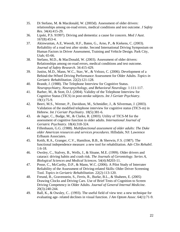- 35. Di Stefano, M. & Macdonald, W. (2003d). Assessment of older drivers: relationships among on-road errors, medical conditions and test outcome. *J Safety Res*. 34(4):415-29.
- 36. Lipski, P.S. 91997). Driving and dementia: a cause for concern. *Med J Aust*. 167(8):453-4.
- 37. Akinwuntan, A.E, Weerdt, H.F., Baten, G., Arno, P., & Kiekens, C. (2003). Reliability of a road test after stroke. Second International Driving Symposium on Human Factors in Driver Assessment, Training and Vehicle Design. Park City, Utah; 65-66.
- 38. Stefano, M.D., & MacDonald, W. (2003). Assessment of older drivers: Relationships among on-road errors, medical conditions and test outcome. *Journal of Safety Research*. 34:415-429.
- 39. Justiss, M.D., Mann, W.C., Stav, W., & Velozo, C. (2006). Development of a Behind-the-Wheel Driving Performance Assessment for Older Adults. *Topics in Geriatric Rehabilitation*. 22(2):121-128.
- 40. Brandt, J. (1988). The Telephone Interview for Cognitive Status. *Neuropsychiatry, Neuropsychology, and Behavioral Neurology*. 1:111-117.
- 41. Barber, M., & Stott, D.J. (2004). Validity of the Telephone Interview for Cognitive Status (TICS) in post-stroke subjects. *Int J Geriatr Psychiatry*. 19(1):75-9.
- 42. Beeri, M.S., Werner, P., Davidson, M., Schmidler, J., & Silverman, J. (2003). Validation of the modified telephone interview for cognitive status (TICS-m) in Hebrew. *Int J Geriatr Psychiatry*. 18(5):381-6.
- 43. de Jager, C., Budge, M., & Clarke, R. (2003). Utility of TICS-M for the assessment of cognitive function in older adults. *International Journal of Geriatric Psychiatry*. 18(4):318-324.
- 44. Fillenbaum, G.G. (1988). *Multifunctional assessment of older adults: The Duke older American resources and services procedures.* Hillsdale, NJ: Lawrence Erlbaum Associates.
- 45. Keith, R.A., Granger, C.V., Hamilton, B.B., & Sherwin, F.S. (1987). The functional independence measure: a new tool for rehabilitation. *Adv Clin Rehabil*. 1:6-18.
- 46. Owsley, C., Stalvey, B., Wells, J., & Sloane, M.E. (1999). Older drivers and cataract: driving habits and crash risk. *The Journals of Gerontology. Series A, Biological Sciences and Medical Sciences.* 54(4):M203-11.
- 47. Posse, C., McCarthy, D.P., & Mann, W.C. (2006). A Pilot Study of Interrater Reliability of the Assessment of Driving-related Skills: Older Driver Screening Tool. *Topics in Geriatric Rehabilitation*. 22(2):113-120.
- 48. Freund, B., Gravenstein, S., Ferris, R., Burke, B.L., & Shaheen, E. (2005) Drawing Clocks and Driving Cars. Use of Brief Tests of Cognition to Screen Driving Competency in Older Adults. *Journal of General Internal Medicine*. 20(3):240-244.
- 49. Ball, K., & Owsley, C.. (1993). The useful field of view test: a new technique for evaluating age- related declines in visual function. *J Am Optom Assoc*. 64(1):71-9.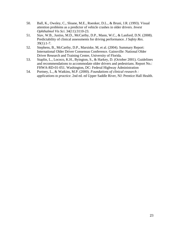- 50. Ball, K., Owsley, C., Sloane, M.E., Roenker, D.L., & Bruni, J.R. (1993). Visual attention problems as a predictor of vehicle crashes in older drivers. *Invest Ophthalmol Vis Sci*. 34(11):3110-23.
- 51. Stav, W.B., Justiss, M.D., McCarthy, D.P., Mann, W.C., & Lanford, D.N. (2008). Predictability of clinical assessments for driving performance. *J Safety Res*.  $39(1):1-7.$
- 52. Stephens, B., McCarthy, D.P., Marsiske, M, et al. (2004). Summary Report: International Older Driver Consensus Conference. Gainsville: National Older Driver Research and Training Center, University of Florida.
- 53. Staplin, L., Lococo, K.H., Byington, S., & Harkey, D. (October 2001). Guidelines and recommendations to accommodate older drivers and pedestrians. Report No.: FHWA-RD-01-051. Washington, DC: Federal Highway Administration
- 54. Portney, L., & Watkins, M.P. (2000). *Foundations of clinical research : applications to practice*. 2nd ed. ed Upper Saddle River, NJ: Prentice Hall Health.